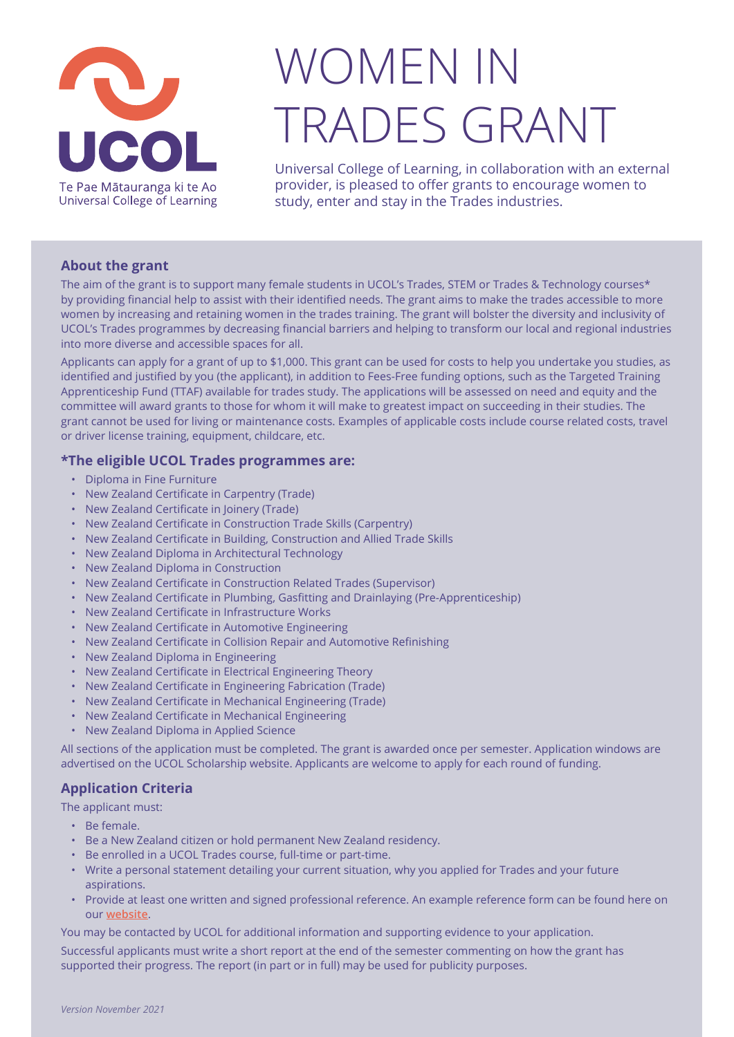

## WOMEN IN TRADES GRANT

Universal College of Learning, in collaboration with an external provider, is pleased to offer grants to encourage women to study, enter and stay in the Trades industries.

## **About the grant**

The aim of the grant is to support many female students in UCOL's Trades, STEM or Trades & Technology courses\* by providing financial help to assist with their identified needs. The grant aims to make the trades accessible to more women by increasing and retaining women in the trades training. The grant will bolster the diversity and inclusivity of UCOL's Trades programmes by decreasing financial barriers and helping to transform our local and regional industries into more diverse and accessible spaces for all.

Applicants can apply for a grant of up to \$1,000. This grant can be used for costs to help you undertake you studies, as identified and justified by you (the applicant), in addition to Fees-Free funding options, such as the Targeted Training Apprenticeship Fund (TTAF) available for trades study. The applications will be assessed on need and equity and the committee will award grants to those for whom it will make to greatest impact on succeeding in their studies. The grant cannot be used for living or maintenance costs. Examples of applicable costs include course related costs, travel or driver license training, equipment, childcare, etc.

## **\*The eligible UCOL Trades programmes are:**

- Diploma in Fine Furniture
- New Zealand Certificate in Carpentry (Trade)
- New Zealand Certificate in Joinery (Trade)
- New Zealand Certificate in Construction Trade Skills (Carpentry)
- New Zealand Certificate in Building, Construction and Allied Trade Skills
- New Zealand Diploma in Architectural Technology
- New Zealand Diploma in Construction
- New Zealand Certificate in Construction Related Trades (Supervisor)
- New Zealand Certificate in Plumbing, Gasfitting and Drainlaying (Pre-Apprenticeship)
- New Zealand Certificate in Infrastructure Works
- New Zealand Certificate in Automotive Engineering
- New Zealand Certificate in Collision Repair and Automotive Refinishing
- New Zealand Diploma in Engineering
- New Zealand Certificate in Electrical Engineering Theory
- New Zealand Certificate in Engineering Fabrication (Trade)
- New Zealand Certificate in Mechanical Engineering (Trade)
- New Zealand Certificate in Mechanical Engineering
- New Zealand Diploma in Applied Science

All sections of the application must be completed. The grant is awarded once per semester. Application windows are advertised on the UCOL Scholarship website. Applicants are welcome to apply for each round of funding.

## **Application Criteria**

The applicant must:

- Be female.
- Be a New Zealand citizen or hold permanent New Zealand residency.
- Be enrolled in a UCOL Trades course, full-time or part-time.
- Write a personal statement detailing your current situation, why you applied for Trades and your future aspirations.
- Provide at least one written and signed professional reference. An example reference form can be found here on our **[website](https://www.ucol.ac.nz/Documents/Apply%20Now/Reference%20Form.pdf)**.

You may be contacted by UCOL for additional information and supporting evidence to your application.

Successful applicants must write a short report at the end of the semester commenting on how the grant has supported their progress. The report (in part or in full) may be used for publicity purposes.